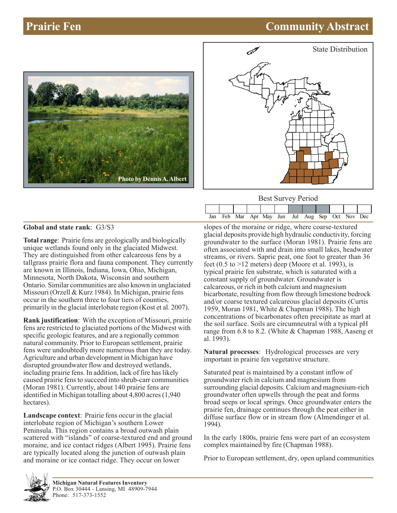# **Prairie Fen Community Abstract**





Best Survey Period

|  |  | Jan Feb Mar Apr May Jun Jul Aug Sep Oct Nov Dec |  |  |  |  |
|--|--|-------------------------------------------------|--|--|--|--|

### **Global and state rank**: G3/S3

**Total range**: Prairie fens are geologically and biologically unique wetlands found only in the glaciated Midwest. They are distinguished from other calcareous fens by a tallgrass prairie flora and fauna component. They currently are known in Illinois, Indiana, Iowa, Ohio, Michigan, Minnesota, North Dakota, Wisconsin and southern Ontario. Similar communities are also known in unglaciated Missouri (Orzell & Kurz 1984). In Michigan, prairie fens occur in the southern three to four tiers of counties, primarily in the glacial interlobate region (Kost et al. 2007).

**Rank justification**: With the exception of Missouri, prairie fens are restricted to glaciated portions of the Midwest with specific geologic features, and are a regionally common natural community. Prior to European settlement, prairie fens were undoubtedly more numerous than they are today. Agriculture and urban development in Michigan have disrupted groundwater flow and destroyed wetlands, including prairie fens. In addition, lack of fire has likely caused prairie fens to succeed into shrub-carr communities (Moran 1981). Currently, about 140 prairie fens are identified in Michigan totalling about 4,800 acres (1,940 hectares).

**Landscape context**: Prairie fens occur in the glacial interlobate region of Michigan's southern Lower Peninsula. This region contains a broad outwash plain scattered with "islands" of coarse-textured end and ground moraine, and ice contact ridges (Albert 1995). Prairie fens are typically located along the junction of outwash plain and moraine or ice contact ridge. They occur on lower

slopes of the moraine or ridge, where coarse-textured glacial deposits provide high hydraulic conductivity, forcing groundwater to the surface (Moran 1981). Prairie fens are often associated with and drain into small lakes, headwater streams, or rivers. Sapric peat, one foot to greater than 36 feet  $(0.5 \text{ to } >12 \text{ meters})$  deep (Moore et al. 1993), is typical prairie fen substrate, which is saturated with a constant supply of groundwater. Groundwater is calcareous, or rich in both calcium and magnesium bicarbonate, resulting from flow through limestone bedrock and/or coarse textured calcareous glacial deposits (Curtis 1959, Moran 1981, White & Chapman 1988). The high concentrations of bicarbonates often precipitate as marl at the soil surface. Soils are circumneutral with a typical pH range from 6.8 to 8.2. (White & Chapman 1988, Aaseng et al. 1993).

**Natural processes**: Hydrological processes are very important in prairie fen vegetative structure.

Saturated peat is maintained by a constant inflow of groundwater rich in calcium and magnesium from surrounding glacial deposits. Calcium and magnesium-rich groundwater often upwells through the peat and forms broad seeps or local springs. Once groundwater enters the prairie fen, drainage continues through the peat either in diffuse surface flow or in stream flow (Almendinger et al. 1994).

In the early 1800s, prairie fens were part of an ecosystem complex maintained by fire (Chapman 1988).

Prior to European settlement, dry, open upland communities

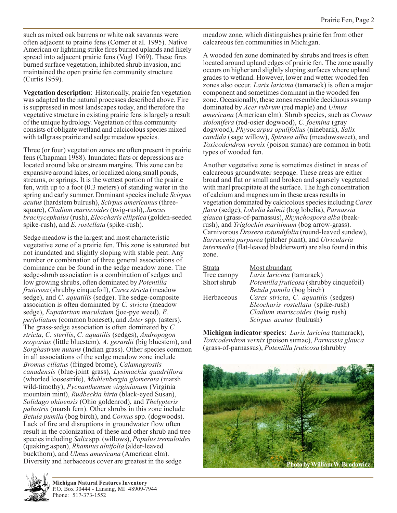such as mixed oak barrens or white oak savannas were often adjacent to prairie fens (Comer et al. 1995). Native American or lightning strike fires burned uplands and likely spread into adjacent prairie fens (Vogl 1969). These fires burned surface vegetation, inhibited shrub invasion, and maintained the open prairie fen community structure (Curtis 1959).

**Vegetation description**: Historically, prairie fen vegetation was adapted to the natural processes described above. Fire is suppressed in most landscapes today, and therefore the vegetative structure in existing prairie fens is largely a result of the unique hydrology. Vegetation of this community consists of obligate wetland and calcicolous species mixed with tallgrass prairie and sedge meadow species.

Three (or four) vegetation zones are often present in prairie fens (Chapman 1988). Inundated flats or depressions are located around lake or stream margins. This zone can be expansive around lakes, or localized along small ponds, streams, or springs. It is the wettest portion of the prairie fen, with up to a foot (0.3 meters) of standing water in the spring and early summer. Dominant species include *Scirpus acutus* (hardstem bulrush), *Scirpus americanus* (threesquare), *Cladium mariscoides* (twig-rush), *Juncus brachycephalus* (rush), *Eleocharis elliptica* (golden-seeded spike-rush), and *E. rostellata* (spike-rush).

Sedge meadow is the largest and most characteristic vegetative zone of a prairie fen. This zone is saturated but not inundated and slightly sloping with stable peat. Any number or combination of three general associations of dominance can be found in the sedge meadow zone. The sedge-shrub association is a combination of sedges and low growing shrubs, often dominated by *Potentilla fruticosa* (shrubby cinquefoil), *Carex stricta* (meadow sedge), and *C. aquatilis* (sedge). The sedge-composite association is often dominated by *C. stricta* (meadow sedge), *Eupatorium maculatum* (joe-pye weed), *E. perfoliatum* (common boneset), and *Aster* spp. (asters). The grass-sedge association is often dominated by *C. stricta*, *C. sterilis*, *C. aquatilis* (sedges), *Andropogon scoparius* (little bluestem), *A. gerardii* (big bluestem), and *Sorghastrum nutans* (Indian grass). Other species common in all associations of the sedge meadow zone include *Bromus ciliatus* (fringed brome), *Calamagrostis canadensis* (blue-joint grass), *Lysimachia quadriflora* (whorled loosestrife), *Muhlenbergia glomerata* (marsh wild-timothy), *Pycnanthemum virginianum* (Virginia mountain mint), *Rudbeckia hirta* (black-eyed Susan), *Solidago ohioensis* (Ohio goldenrod), and *Thelypteris palustris* (marsh fern). Other shrubs in this zone include *Betula pumila* (bog birch), and *Cornus* spp. (dogwoods). Lack of fire and disruptions in groundwater flow often result in the colonization of these and other shrub and tree species including *Salix* spp. (willows), *Populus tremuloides* (quaking aspen), *Rhamnus alnifolia* (alder-leaved buckthorn), and *Ulmus americana* (American elm). Diversity and herbaceous cover are greatest in the sedge



A wooded fen zone dominated by shrubs and trees is often located around upland edges of prairie fen. The zone usually occurs on higher and slightly sloping surfaces where upland grades to wetland. However, lower and wetter wooded fen zones also occur. *Larix laricina* (tamarack) is often a major component and sometimes dominant in the wooded fen zone. Occasionally, these zones resemble deciduous swamp dominated by *Acer rubrum* (red maple) and *Ulmus americana* (American elm). Shrub species, such as *Cornus stolonifera* (red-osier dogwood), *C. foemina* (gray dogwood), *Physocarpus opulifolius* (ninebark), *Salix candida* (sage willow), *Spiraea alba* (meadowsweet), and *Toxicodendron vernix* (poison sumac) are common in both types of wooded fen.

Another vegetative zone is sometimes distinct in areas of calcareous groundwater seepage. These areas are either broad and flat or small and broken and sparsely vegetated with marl precipitate at the surface. The high concentration of calcium and magnesium in these areas results in vegetation dominated by calcicolous species including *Carex flava* (sedge), *Lobelia kalmii* (bog lobelia), *Parnassia glauca* (grass-of-parnassus), *Rhynchospora alba* (beakrush), and *Triglochin maritimum* (bog arrow-grass). Carnivorous *Drosera rotundifolia* (round-leaved sundew), *Sarracenia purpurea* (pitcher plant), and *Utricularia intermedia* (flat-leaved bladderwort) are also found in this zone.

| <b>Strata</b> | Most abundant                             |
|---------------|-------------------------------------------|
| Tree canopy   | Larix laricina (tamarack)                 |
| Short shrub   | Potentilla fruticosa (shrubby cinquefoil) |
|               | Betula pumila (bog birch)                 |
| Herbaceous    | Carex stricta, C. aquatilis (sedges)      |
|               | Eleocharis rostellata (spike-rush)        |
|               | <i>Cladium mariscoides</i> (twig rush)    |
|               | Scirpus acutus (bulrush)                  |

**Michigan indicator species**: *Larix laricina* (tamarack), *Toxicodendron vernix* (poison sumac), *Parnassia glauca* (grass-of-parnassus), *Potentilla fruticosa* (shrubby



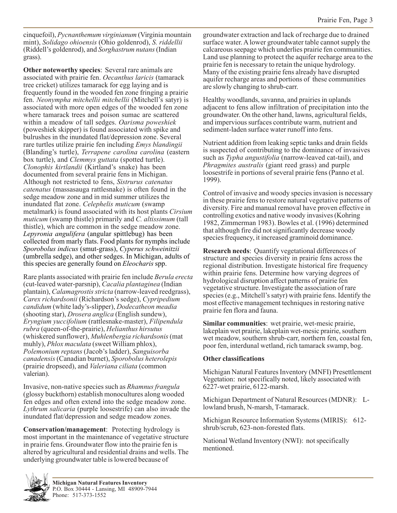cinquefoil), *Pycnanthemum virginianum* (Virginia mountain mint), *Solidago ohioensis* (Ohio goldenrod), *S. riddellii* (Riddell's goldenrod), and *Sorghastrum nutans* (Indian grass).

**Other noteworthy species**: Several rare animals are associated with prairie fen. *Oecanthus laricis* (tamarack tree cricket) utilizes tamarack for egg laying and is frequently found in the wooded fen zone fringing a prairie fen. *Neonympha mitchellii mitchellii* (Mitchell's satyr) is associated with more open edges of the wooded fen zone where tamarack trees and poison sumac are scattered within a meadow of tall sedges. *Oarisma poweshiek* (poweshiek skipper) is found associated with spike and bulrushes in the inundated flat/depression zone. Several rare turtles utilize prairie fen including *Emys blandingii* (Blanding's turtle), *Terrapene carolina carolina* (eastern box turtle), and *Clemmys guttata* (spotted turtle). *Clonophis kirtlandii* (Kirtland's snake) has been documented from several prairie fens in Michigan. Although not restricted to fens, *Sistrurus catenatus catenatus* (massasauga rattlesnake) is often found in the sedge meadow zone and in mid summer utilizes the inundated flat zone. *Celephelis muticum* (swamp metalmark) is found associated with its host plants *Cirsium muticum* (swamp thistle) primarily and *C. altissimum* (tall thistle), which are common in the sedge meadow zone. *Lepyronia angulifera* (angular spittlebug) has been collected from marly flats. Food plants for nymphs include *Sporobolus indicus* (smut-grass), *Cyperus schweinitzii* (umbrella sedge), and other sedges. In Michigan, adults of this species are generally found on *Eleocharis* spp.

Rare plants associated with prairie fen include *Berula erecta* (cut-leaved water-parsnip), *Cacalia plantaginea* (Indian plantain), *Calamagrostis stricta* (narrow-leaved reedgrass), *Carex richardsonii* (Richardson's sedge), *Cypripedium candidum* (white lady's-slipper), *Dodecatheon meadia* (shooting star), *Drosera anglica* (English sundew), *Eryngium yuccifolium* (rattlesnake-master), *Filipendula rubra* (queen-of-the-prairie), *Helianthus hirsutus* (whiskered sunflower), *Muhlenbergia richardsonis* (mat muhly), *Phlox maculata* (sweet William phlox), *Polemonium reptans* (Jacob's ladder), *Sanguisorba canadensis* (Canadian burnet), *Sporobolus heterolepis* (prairie dropseed), and *Valeriana ciliata* (common valerian).

Invasive, non-native species such as *Rhamnus frangula* (glossy buckthorn) establish monocultures along wooded fen edges and often extend into the sedge meadow zone. *Lythrum salicaria* (purple loosestrife) can also invade the inundated flat/depression and sedge meadow zones.

**Conservation/management**: Protecting hydrology is most important in the maintenance of vegetative structure in prairie fens. Groundwater flow into the prairie fen is altered by agricultural and residential drains and wells. The underlying groundwater table is lowered because of

groundwater extraction and lack of recharge due to drained surface water. A lower groundwater table cannot supply the calcareous seepage which underlies prairie fen communities. Land use planning to protect the aquifer recharge area to the prairie fen is necessary to retain the unique hydrology. Many of the existing prairie fens already have disrupted aquifer recharge areas and portions of these communities are slowly changing to shrub-carr.

Healthy woodlands, savanna, and prairies in uplands adjacent to fens allow infiltration of precipitation into the groundwater. On the other hand, lawns, agricultural fields, and impervious surfaces contribute warm, nutrient and sediment-laden surface water runoff into fens.

Nutrient addition from leaking septic tanks and drain fields is suspected of contributing to the dominance of invasives such as *Typha angustifolia* (narrow-leaved cat-tail), and *Phragmites australis* (giant reed grass) and purple loosestrife in portions of several prairie fens (Panno et al. 1999).

Control of invasive and woody species invasion is necessary in these prairie fens to restore natural vegetative patterns of diversity. Fire and manual removal have proven effective in controlling exotics and native woody invasives (Kohring 1982, Zimmerman 1983). Bowles et al. (1996) determined that although fire did not significantly decrease woody species frequency, it increased graminoid dominance.

**Research needs**: Quantify vegetational differences of structure and species diversity in prairie fens across the regional distribution. Investigate historical fire frequency within prairie fens. Determine how varying degrees of hydrological disruption affect patterns of prairie fen vegetative structure. Investigate the association of rare species (e.g., Mitchell's satyr) with prairie fens. Identify the most effective management techniques in restoring native prairie fen flora and fauna.

**Similar communities**: wet prairie, wet-mesic prairie, lakeplain wet prairie, lakeplain wet-mesic prairie, southern wet meadow, southern shrub-carr, northern fen, coastal fen, poor fen, interdunal wetland, rich tamarack swamp, bog.

### **Other classifications**

Michigan Natural Features Inventory (MNFI) Presettlement Vegetation: not specifically noted, likely associated with 6227-wet prairie, 6122-marsh.

Michigan Department of Natural Resources (MDNR): Llowland brush, N-marsh, T-tamarack.

Michigan Resource Information Systems (MIRIS): 612 shrub/scrub, 623-non-forested flats.

National Wetland Inventory (NWI): not specifically mentioned.